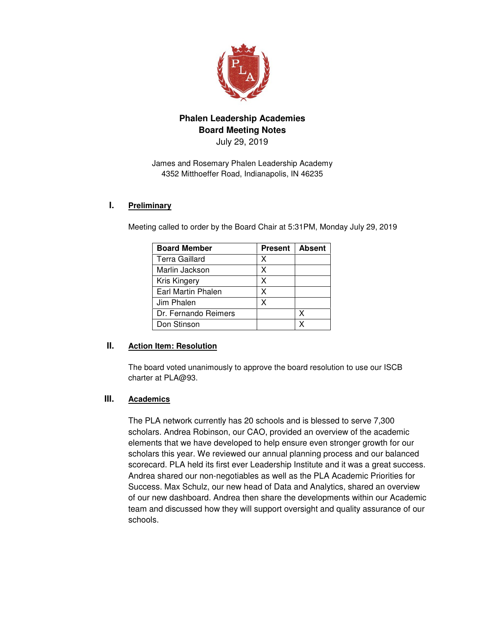

# **Phalen Leadership Academies Board Meeting Notes**

July 29, 2019

James and Rosemary Phalen Leadership Academy 4352 Mitthoeffer Road, Indianapolis, IN 46235

### **I. Preliminary**

Meeting called to order by the Board Chair at 5:31PM, Monday July 29, 2019

| <b>Board Member</b>       | <b>Present</b> | <b>Absent</b> |
|---------------------------|----------------|---------------|
| Terra Gaillard            | х              |               |
| Marlin Jackson            | x              |               |
| Kris Kingery              | X              |               |
| <b>Earl Martin Phalen</b> | x              |               |
| Jim Phalen                | x              |               |
| Dr. Fernando Reimers      |                | x             |
| Don Stinson               |                |               |

### **II. Action Item: Resolution**

The board voted unanimously to approve the board resolution to use our ISCB charter at PLA@93.

# **III. Academics**

The PLA network currently has 20 schools and is blessed to serve 7,300 scholars. Andrea Robinson, our CAO, provided an overview of the academic elements that we have developed to help ensure even stronger growth for our scholars this year. We reviewed our annual planning process and our balanced scorecard. PLA held its first ever Leadership Institute and it was a great success. Andrea shared our non-negotiables as well as the PLA Academic Priorities for Success. Max Schulz, our new head of Data and Analytics, shared an overview of our new dashboard. Andrea then share the developments within our Academic team and discussed how they will support oversight and quality assurance of our schools.